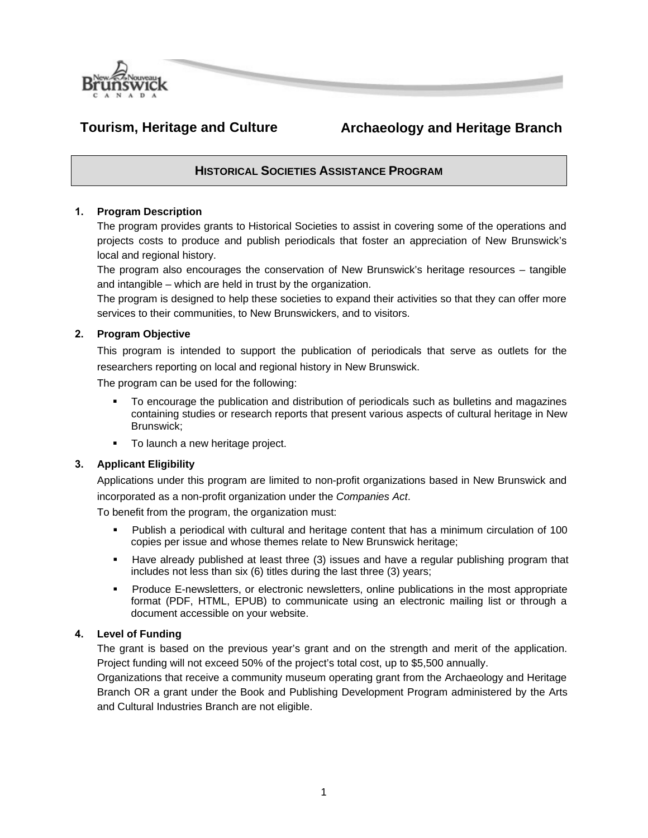

# **Tourism, Heritage and Culture Archaeology and Heritage Branch**

# **HISTORICAL SOCIETIES ASSISTANCE PROGRAM**

# **1. Program Description**

The program provides grants to Historical Societies to assist in covering some of the operations and projects costs to produce and publish periodicals that foster an appreciation of New Brunswick's local and regional history.

The program also encourages the conservation of New Brunswick's heritage resources – tangible and intangible – which are held in trust by the organization.

The program is designed to help these societies to expand their activities so that they can offer more services to their communities, to New Brunswickers, and to visitors.

# **2. Program Objective**

This program is intended to support the publication of periodicals that serve as outlets for the researchers reporting on local and regional history in New Brunswick.

The program can be used for the following:

- To encourage the publication and distribution of periodicals such as bulletins and magazines containing studies or research reports that present various aspects of cultural heritage in New Brunswick;
- **To launch a new heritage project.**

# **3. Applicant Eligibility**

Applications under this program are limited to non-profit organizations based in New Brunswick and incorporated as a non-profit organization under the *Companies Act*.

To benefit from the program, the organization must:

- Publish a periodical with cultural and heritage content that has a minimum circulation of 100 copies per issue and whose themes relate to New Brunswick heritage;
- Have already published at least three (3) issues and have a regular publishing program that includes not less than six (6) titles during the last three (3) years;
- **Produce E-newsletters, or electronic newsletters, online publications in the most appropriate** format (PDF, HTML, EPUB) to communicate using an electronic mailing list or through a document accessible on your website.

# **4. Level of Funding**

The grant is based on the previous year's grant and on the strength and merit of the application. Project funding will not exceed 50% of the project's total cost, up to \$5,500 annually.

Organizations that receive a community museum operating grant from the Archaeology and Heritage Branch OR a grant under the Book and Publishing Development Program administered by the Arts and Cultural Industries Branch are not eligible.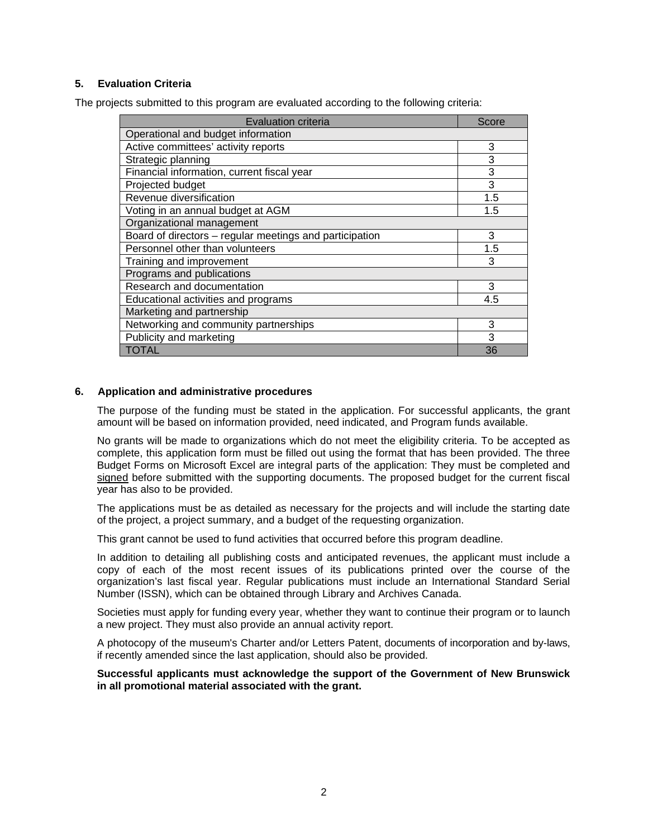# **5. Evaluation Criteria**

The projects submitted to this program are evaluated according to the following criteria:

| <b>Evaluation criteria</b>                              | Score |
|---------------------------------------------------------|-------|
| Operational and budget information                      |       |
| Active committees' activity reports                     | 3     |
| Strategic planning                                      | 3     |
| Financial information, current fiscal year              | 3     |
| Projected budget                                        | 3     |
| Revenue diversification                                 | 1.5   |
| Voting in an annual budget at AGM                       | 1.5   |
| Organizational management                               |       |
| Board of directors - regular meetings and participation | 3     |
| Personnel other than volunteers                         | 1.5   |
| Training and improvement                                | 3     |
| Programs and publications                               |       |
| Research and documentation                              | 3     |
| Educational activities and programs                     | 4.5   |
| Marketing and partnership                               |       |
| Networking and community partnerships                   | 3     |
| Publicity and marketing                                 | 3     |
| <b>TOTAL</b>                                            | 36    |

### **6. Application and administrative procedures**

The purpose of the funding must be stated in the application. For successful applicants, the grant amount will be based on information provided, need indicated, and Program funds available.

No grants will be made to organizations which do not meet the eligibility criteria. To be accepted as complete, this application form must be filled out using the format that has been provided. The three Budget Forms on Microsoft Excel are integral parts of the application: They must be completed and signed before submitted with the supporting documents. The proposed budget for the current fiscal year has also to be provided.

The applications must be as detailed as necessary for the projects and will include the starting date of the project, a project summary, and a budget of the requesting organization.

This grant cannot be used to fund activities that occurred before this program deadline.

In addition to detailing all publishing costs and anticipated revenues, the applicant must include a copy of each of the most recent issues of its publications printed over the course of the organization's last fiscal year. Regular publications must include an International Standard Serial Number (ISSN), which can be obtained through Library and Archives Canada.

Societies must apply for funding every year, whether they want to continue their program or to launch a new project. They must also provide an annual activity report.

A photocopy of the museum's Charter and/or Letters Patent, documents of incorporation and by-laws, if recently amended since the last application, should also be provided.

**Successful applicants must acknowledge the support of the Government of New Brunswick in all promotional material associated with the grant.**